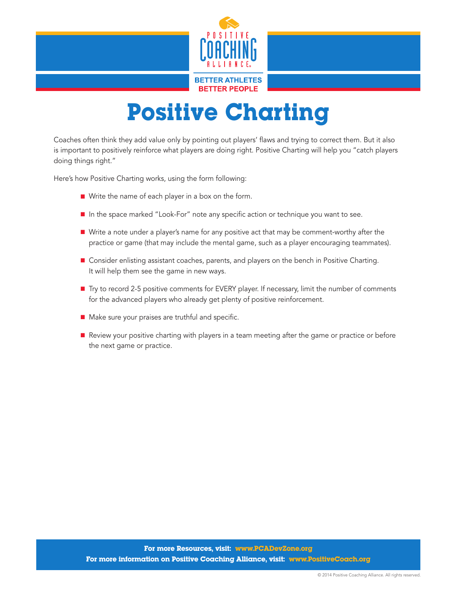

## Positive Charting

Coaches often think they add value only by pointing out players' flaws and trying to correct them. But it also is important to positively reinforce what players are doing right. Positive Charting will help you "catch players doing things right."

Here's how Positive Charting works, using the form following:

- $\blacksquare$  Write the name of each player in a box on the form.
- In the space marked "Look-For" note any specific action or technique you want to see.
- Write a note under a player's name for any positive act that may be comment-worthy after the practice or game (that may include the mental game, such as a player encouraging teammates).
- **n** Consider enlisting assistant coaches, parents, and players on the bench in Positive Charting. It will help them see the game in new ways.
- Try to record 2-5 positive comments for EVERY player. If necessary, limit the number of comments for the advanced players who already get plenty of positive reinforcement.
- $\blacksquare$  Make sure your praises are truthful and specific.
- **n** Review your positive charting with players in a team meeting after the game or practice or before the next game or practice.